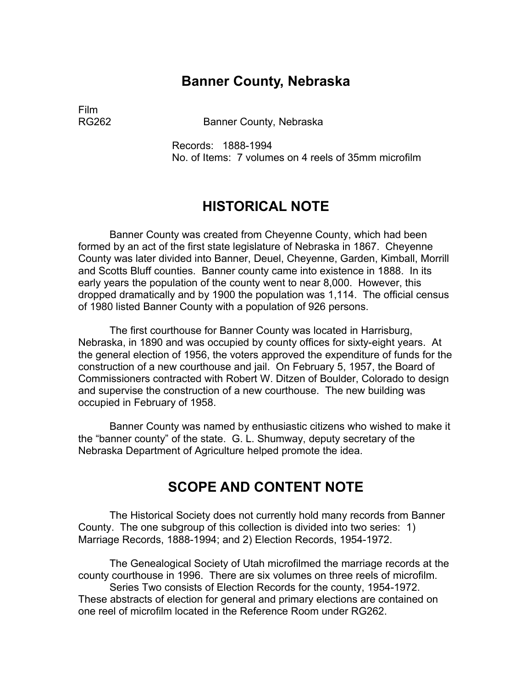## **Banner County, Nebraska**

Film

RG262 Banner County, Nebraska

Records: 1888-1994 No. of Items: 7 volumes on 4 reels of 35mm microfilm

## **HISTORICAL NOTE**

Banner County was created from Cheyenne County, which had been formed by an act of the first state legislature of Nebraska in 1867. Cheyenne County was later divided into Banner, Deuel, Cheyenne, Garden, Kimball, Morrill and Scotts Bluff counties. Banner county came into existence in 1888. In its early years the population of the county went to near 8,000. However, this dropped dramatically and by 1900 the population was 1,114. The official census of 1980 listed Banner County with a population of 926 persons.

The first courthouse for Banner County was located in Harrisburg, Nebraska, in 1890 and was occupied by county offices for sixty-eight years. At the general election of 1956, the voters approved the expenditure of funds for the construction of a new courthouse and jail. On February 5, 1957, the Board of Commissioners contracted with Robert W. Ditzen of Boulder, Colorado to design and supervise the construction of a new courthouse. The new building was occupied in February of 1958.

Banner County was named by enthusiastic citizens who wished to make it the "banner county" of the state. G. L. Shumway, deputy secretary of the Nebraska Department of Agriculture helped promote the idea.

# **SCOPE AND CONTENT NOTE**

The Historical Society does not currently hold many records from Banner County. The one subgroup of this collection is divided into two series: 1) Marriage Records, 1888-1994; and 2) Election Records, 1954-1972.

The Genealogical Society of Utah microfilmed the marriage records at the county courthouse in 1996. There are six volumes on three reels of microfilm. Series Two consists of Election Records for the county, 1954-1972.

These abstracts of election for general and primary elections are contained on one reel of microfilm located in the Reference Room under RG262.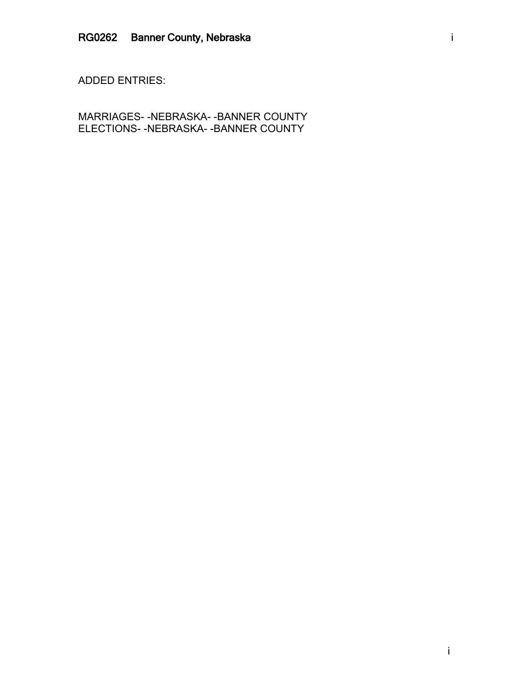ADDED ENTRIES:

MARRIAGES- -NEBRASKA- -BANNER COUNTY ELECTIONS- -NEBRASKA- -BANNER COUNTY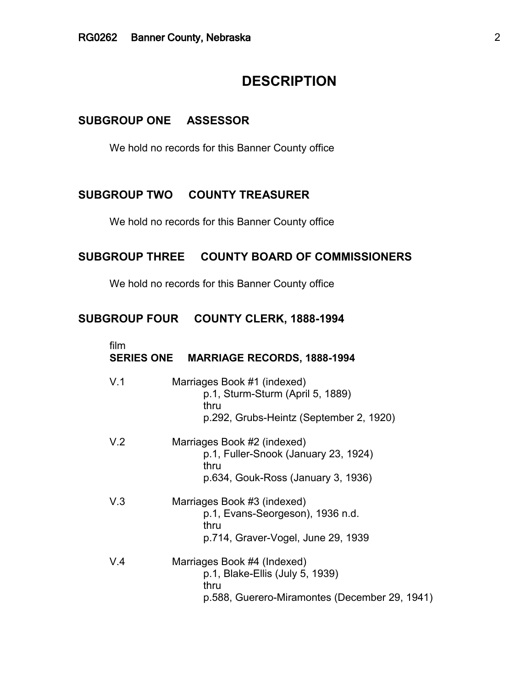# **DESCRIPTION**

#### **SUBGROUP ONE ASSESSOR**

We hold no records for this Banner County office

## **SUBGROUP TWO COUNTY TREASURER**

We hold no records for this Banner County office

### **SUBGROUP THREE COUNTY BOARD OF COMMISSIONERS**

We hold no records for this Banner County office

#### **SUBGROUP FOUR COUNTY CLERK, 1888-1994**

| film | SERIES ONE MARRIAGE RECORDS, 1888-1994                                                                                  |
|------|-------------------------------------------------------------------------------------------------------------------------|
| V.1  | Marriages Book #1 (indexed)<br>p.1, Sturm-Sturm (April 5, 1889)<br>thru<br>p.292, Grubs-Heintz (September 2, 1920)      |
| V.2  | Marriages Book #2 (indexed)<br>p.1, Fuller-Snook (January 23, 1924)<br>thru<br>p.634, Gouk-Ross (January 3, 1936)       |
| V.3  | Marriages Book #3 (indexed)<br>p.1, Evans-Seorgeson), 1936 n.d.<br>thru<br>p.714, Graver-Vogel, June 29, 1939           |
| V.4  | Marriages Book #4 (Indexed)<br>p.1, Blake-Ellis (July 5, 1939)<br>thru<br>p.588, Guerero-Miramontes (December 29, 1941) |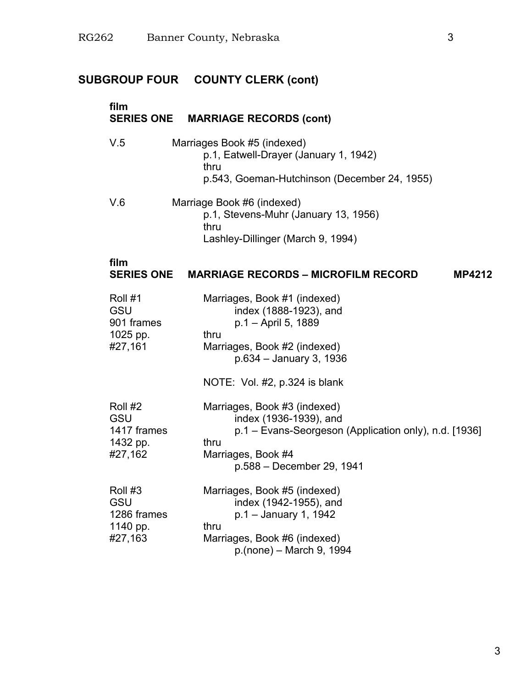# **SUBGROUP FOUR COUNTY CLERK (cont)**

| film                                                        | <b>SERIES ONE MARRIAGE RECORDS (cont)</b>                                                                                                                                         |
|-------------------------------------------------------------|-----------------------------------------------------------------------------------------------------------------------------------------------------------------------------------|
| V.5                                                         | Marriages Book #5 (indexed)<br>p.1, Eatwell-Drayer (January 1, 1942)<br>thru<br>p.543, Goeman-Hutchinson (December 24, 1955)                                                      |
| V.6                                                         | Marriage Book #6 (indexed)<br>p.1, Stevens-Muhr (January 13, 1956)<br>thru<br>Lashley-Dillinger (March 9, 1994)                                                                   |
| film<br><b>SERIES ONE</b>                                   | <b>MARRIAGE RECORDS – MICROFILM RECORD</b><br><b>MP4212</b>                                                                                                                       |
| Roll #1<br><b>GSU</b><br>901 frames<br>1025 pp.<br>#27,161  | Marriages, Book #1 (indexed)<br>index (1888-1923), and<br>p.1 – April 5, 1889<br>thru<br>Marriages, Book #2 (indexed)<br>p.634 - January 3, 1936<br>NOTE: Vol. #2, p.324 is blank |
| Roll #2<br>GSU<br>1417 frames<br>1432 pp.<br>#27,162        | Marriages, Book #3 (indexed)<br>index (1936-1939), and<br>p.1 – Evans-Seorgeson (Application only), n.d. [1936]<br>thru<br>Marriages, Book #4<br>p.588 - December 29, 1941        |
| Roll #3<br><b>GSU</b><br>1286 frames<br>1140 pp.<br>#27,163 | Marriages, Book #5 (indexed)<br>index (1942-1955), and<br>p.1 - January 1, 1942<br>thru<br>Marriages, Book #6 (indexed)<br>p.(none) - March 9, 1994                               |